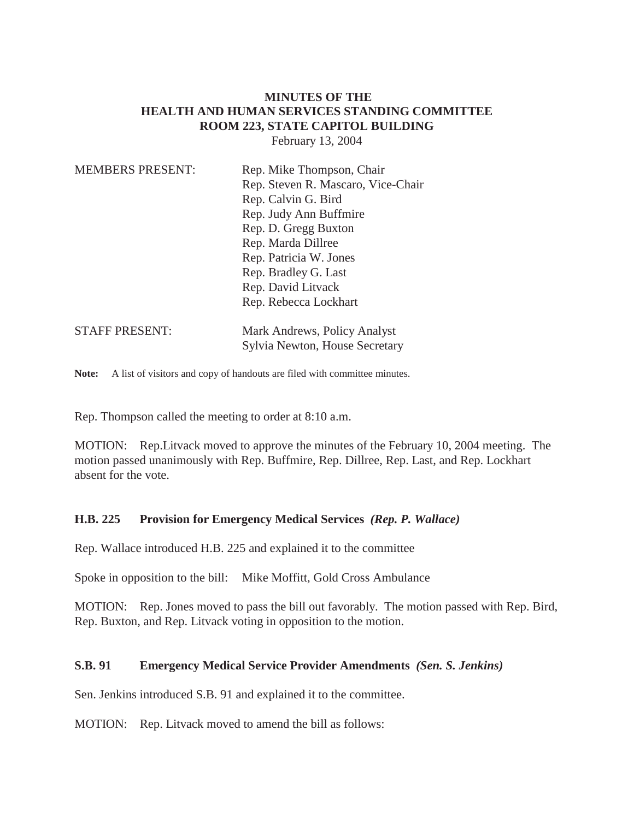# **MINUTES OF THE HEALTH AND HUMAN SERVICES STANDING COMMITTEE ROOM 223, STATE CAPITOL BUILDING**

February 13, 2004

| <b>MEMBERS PRESENT:</b> | Rep. Mike Thompson, Chair<br>Rep. Steven R. Mascaro, Vice-Chair<br>Rep. Calvin G. Bird |
|-------------------------|----------------------------------------------------------------------------------------|
|                         | Rep. Judy Ann Buffmire                                                                 |
|                         | Rep. D. Gregg Buxton                                                                   |
|                         | Rep. Marda Dillree                                                                     |
|                         | Rep. Patricia W. Jones                                                                 |
|                         | Rep. Bradley G. Last                                                                   |
|                         | Rep. David Litvack                                                                     |
|                         | Rep. Rebecca Lockhart                                                                  |
| <b>STAFF PRESENT:</b>   | Mark Andrews, Policy Analyst                                                           |
|                         | Sylvia Newton, House Secretary                                                         |

Note: A list of visitors and copy of handouts are filed with committee minutes.

Rep. Thompson called the meeting to order at 8:10 a.m.

MOTION: Rep.Litvack moved to approve the minutes of the February 10, 2004 meeting. The motion passed unanimously with Rep. Buffmire, Rep. Dillree, Rep. Last, and Rep. Lockhart absent for the vote.

### **H.B. 225 Provision for Emergency Medical Services** *(Rep. P. Wallace)*

Rep. Wallace introduced H.B. 225 and explained it to the committee

Spoke in opposition to the bill: Mike Moffitt, Gold Cross Ambulance

MOTION: Rep. Jones moved to pass the bill out favorably. The motion passed with Rep. Bird, Rep. Buxton, and Rep. Litvack voting in opposition to the motion.

### **S.B. 91 Emergency Medical Service Provider Amendments** *(Sen. S. Jenkins)*

Sen. Jenkins introduced S.B. 91 and explained it to the committee.

MOTION: Rep. Litvack moved to amend the bill as follows: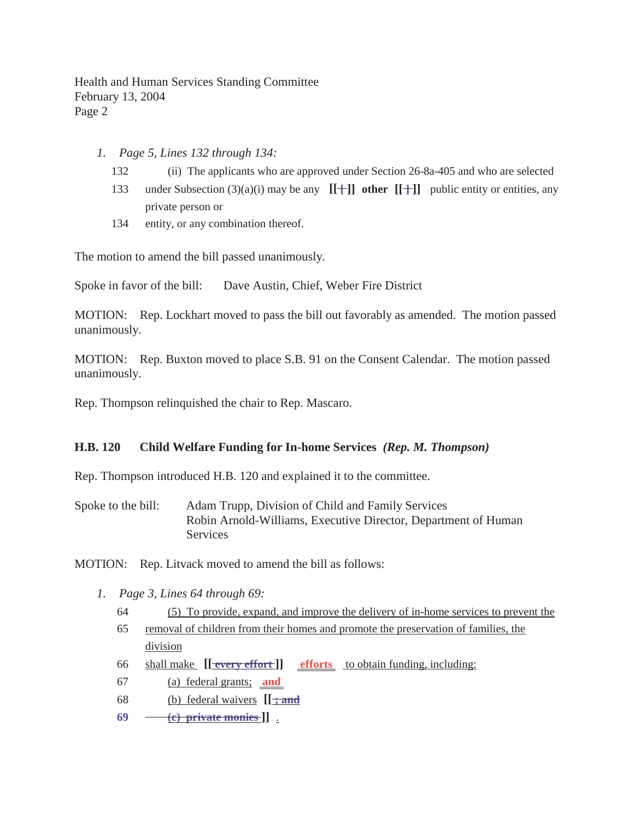Health and Human Services Standing Committee February 13, 2004 Page 2

- *1. Page 5, Lines 132 through 134:*
	- 132 (ii) The applicants who are approved under Section 26-8a-405 and who are selected
	- 133 under Subsection  $(3)(a)(i)$  may be any  $[[+]]$  other  $[[+]]$  public entity or entities, any private person or
	- 134 entity, or any combination thereof.

The motion to amend the bill passed unanimously.

Spoke in favor of the bill: Dave Austin, Chief, Weber Fire District

MOTION: Rep. Lockhart moved to pass the bill out favorably as amended. The motion passed unanimously.

MOTION: Rep. Buxton moved to place S.B. 91 on the Consent Calendar. The motion passed unanimously.

Rep. Thompson relinquished the chair to Rep. Mascaro.

### **H.B. 120 Child Welfare Funding for In-home Services** *(Rep. M. Thompson)*

Rep. Thompson introduced H.B. 120 and explained it to the committee.

Spoke to the bill: Adam Trupp, Division of Child and Family Services Robin Arnold-Williams, Executive Director, Department of Human **Services** 

MOTION: Rep. Litvack moved to amend the bill as follows:

- *1. Page 3, Lines 64 through 69:*
	- 64 (5) To provide, expand, and improve the delivery of in-home services to prevent the
	- 65 removal of children from their homes and promote the preservation of families, the division
	- 66 shall make **[[ every effort ]] efforts** to obtain funding, including:
	- 67 (a) federal grants; **and**
	- 68 (b) federal waivers **[[ ; and**
	- **69 (c) private monies ]]** .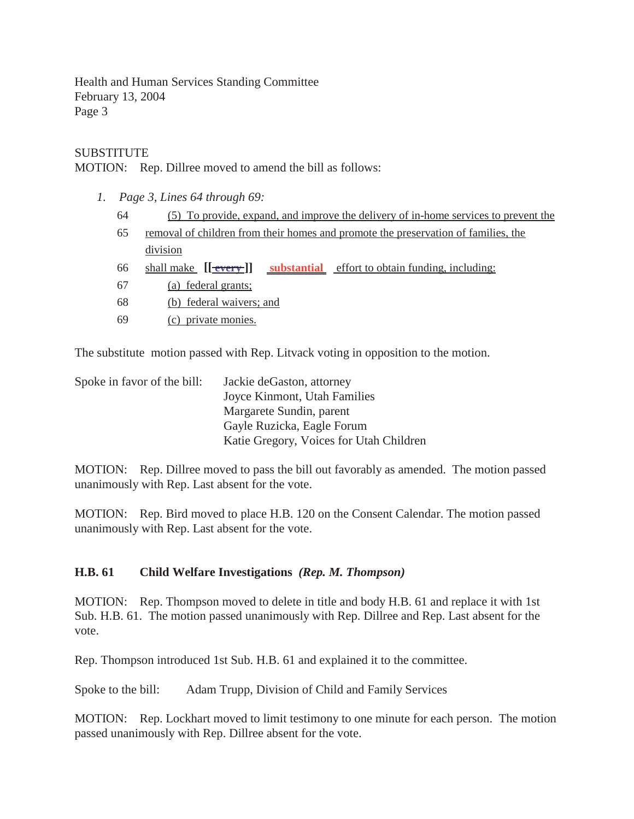Health and Human Services Standing Committee February 13, 2004 Page 3

## SUBSTITUTE

MOTION: Rep. Dillree moved to amend the bill as follows:

- *1. Page 3, Lines 64 through 69:*
	- 64 (5) To provide, expand, and improve the delivery of in-home services to prevent the
	- 65 removal of children from their homes and promote the preservation of families, the division
	- 66 shall make **[[ every ]] substantial** effort to obtain funding, including:
	- 67 (a) federal grants;
	- 68 (b) federal waivers; and
	- 69 (c) private monies.

The substitute motion passed with Rep. Litvack voting in opposition to the motion.

| Spoke in favor of the bill: | Jackie deGaston, attorney               |
|-----------------------------|-----------------------------------------|
|                             | Joyce Kinmont, Utah Families            |
|                             | Margarete Sundin, parent                |
|                             | Gayle Ruzicka, Eagle Forum              |
|                             | Katie Gregory, Voices for Utah Children |

MOTION: Rep. Dillree moved to pass the bill out favorably as amended. The motion passed unanimously with Rep. Last absent for the vote.

MOTION: Rep. Bird moved to place H.B. 120 on the Consent Calendar. The motion passed unanimously with Rep. Last absent for the vote.

## **H.B. 61 Child Welfare Investigations** *(Rep. M. Thompson)*

MOTION: Rep. Thompson moved to delete in title and body H.B. 61 and replace it with 1st Sub. H.B. 61. The motion passed unanimously with Rep. Dillree and Rep. Last absent for the vote.

Rep. Thompson introduced 1st Sub. H.B. 61 and explained it to the committee.

Spoke to the bill: Adam Trupp, Division of Child and Family Services

MOTION: Rep. Lockhart moved to limit testimony to one minute for each person. The motion passed unanimously with Rep. Dillree absent for the vote.